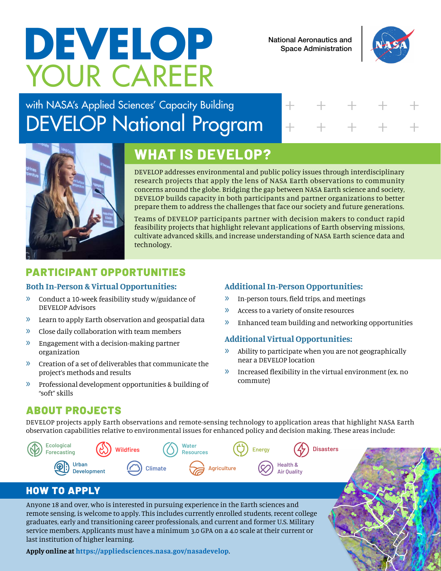# YOUR CAREER **DEVELOP** National Aeronautics and<br>Space Administration

Space Administration



## with NASA's Applied Sciences' Capacity Building DEVELOP National Program

## + + + + + + + + + +



## **WHAT IS DEVELOP?**

DEVELOP addresses environmental and public policy issues through interdisciplinary research projects that apply the lens of NASA Earth observations to community concerns around the globe. Bridging the gap between NASA Earth science and society, DEVELOP builds capacity in both participants and partner organizations to better prepare them to address the challenges that face our society and future generations.

Teams of DEVELOP participants partner with decision makers to conduct rapid feasibility projects that highlight relevant applications of Earth observing missions, cultivate advanced skills, and increase understanding of NASA Earth science data and technology.

### PARTICIPANT OPPORTUNITIES

#### **Both In-Person & Virtual Opportunities:**

- » Conduct a 10-week feasibility study w/guidance of DEVELOP Advisors
- » Learn to apply Earth observation and geospatial data
- » Close daily collaboration with team members
- » Engagement with a decision-making partner organization
- » Creation of a set of deliverables that communicate the project's methods and results
- » Professional development opportunities & building of "soft" skills

#### **Additional In-Person Opportunities:**

- » In-person tours, field trips, and meetings
- » Access to a variety of onsite resources
- » Enhanced team building and networking opportunities

#### **Additional Virtual Opportunities:**

**Health &**

- » Ability to participate when you are not geographically near a DEVELOP location
- » Increased flexibility in the virtual environment (ex. no commute)

#### ABOUT PROJECTS

DEVELOP projects apply Earth observations and remote-sensing technology to application areas that highlight NASA Earth observation capabilities relative to environmental issues for enhanced policy and decision making. These areas include:



#### HOW TO APPLY

Anyone 18 and over, who is interested in pursuing experience in the Earth sciences and remote sensing, is welcome to apply. This includes currently enrolled students, recent college graduates, early and transitioning career professionals, and current and former U.S. Military service members. Applicants must have a minimum 3.0 GPA on a 4.0 scale at their current or last institution of higher learning.

**Apply online at <https://appliedsciences.nasa.gov/nasadevelop>**.